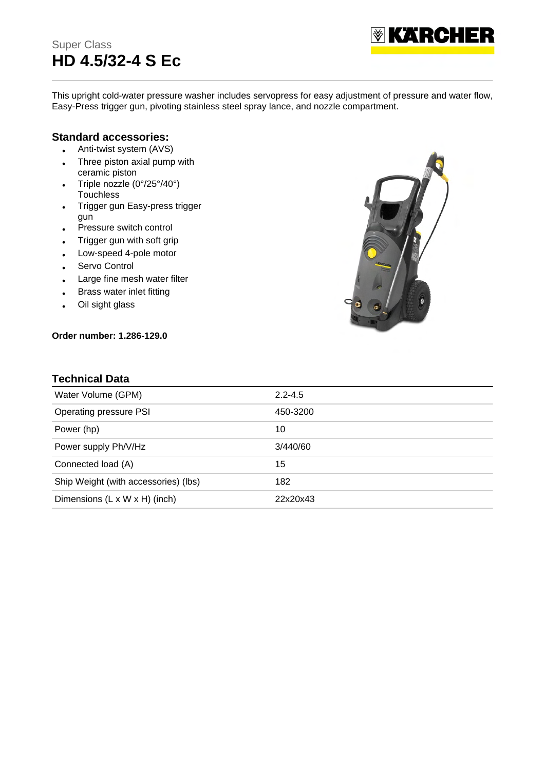# Super Class **HD 4.5/32-4 S Ec**



This upright cold-water pressure washer includes servopress for easy adjustment of pressure and water flow, Easy-Press trigger gun, pivoting stainless steel spray lance, and nozzle compartment.

#### **Standard accessories:**

- Anti-twist system (AVS)
- Three piston axial pump with ceramic piston
- Triple nozzle (0°/25°/40°) **Touchless**
- Trigger gun Easy-press trigger gun
- Pressure switch control
- Trigger gun with soft grip
- Low-speed 4-pole motor
- Servo Control
- Large fine mesh water filter
- Brass water inlet fitting
- Oil sight glass

#### **Order number: 1.286-129.0**



#### **Technical Data**

| Water Volume (GPM)                   | $2.2 - 4.5$ |
|--------------------------------------|-------------|
| Operating pressure PSI               | 450-3200    |
| Power (hp)                           | 10          |
| Power supply Ph/V/Hz                 | 3/440/60    |
| Connected load (A)                   | 15          |
| Ship Weight (with accessories) (lbs) | 182         |
| Dimensions (L x W x H) (inch)        | 22x20x43    |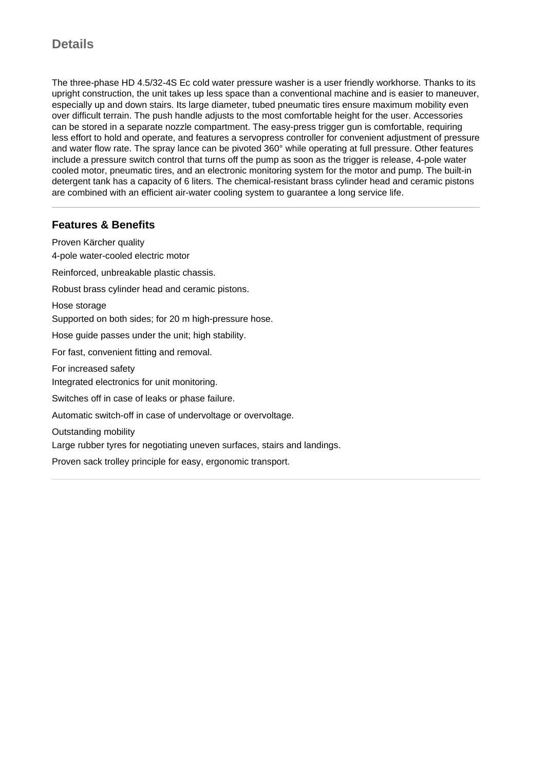# **Details**

The three-phase HD 4.5/32-4S Ec cold water pressure washer is a user friendly workhorse. Thanks to its upright construction, the unit takes up less space than a conventional machine and is easier to maneuver, especially up and down stairs. Its large diameter, tubed pneumatic tires ensure maximum mobility even over difficult terrain. The push handle adjusts to the most comfortable height for the user. Accessories can be stored in a separate nozzle compartment. The easy-press trigger gun is comfortable, requiring less effort to hold and operate, and features a servopress controller for convenient adjustment of pressure and water flow rate. The spray lance can be pivoted 360° while operating at full pressure. Other features include a pressure switch control that turns off the pump as soon as the trigger is release, 4-pole water cooled motor, pneumatic tires, and an electronic monitoring system for the motor and pump. The built-in detergent tank has a capacity of 6 liters. The chemical-resistant brass cylinder head and ceramic pistons are combined with an efficient air-water cooling system to guarantee a long service life.

## **Features & Benefits**

Proven Kärcher quality 4-pole water-cooled electric motor Reinforced, unbreakable plastic chassis. Robust brass cylinder head and ceramic pistons. Hose storage Supported on both sides; for 20 m high-pressure hose. Hose guide passes under the unit; high stability. For fast, convenient fitting and removal. For increased safety Integrated electronics for unit monitoring. Switches off in case of leaks or phase failure. Automatic switch-off in case of undervoltage or overvoltage. Outstanding mobility Large rubber tyres for negotiating uneven surfaces, stairs and landings. Proven sack trolley principle for easy, ergonomic transport.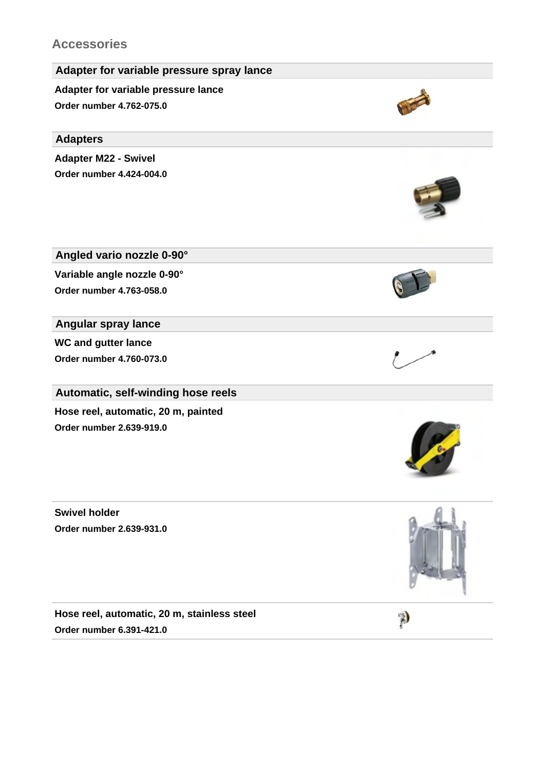# **Accessories**



**Swivel holder Order number 2.639-931.0**

**Hose reel, automatic, 20 m, stainless steel Order number 6.391-421.0**

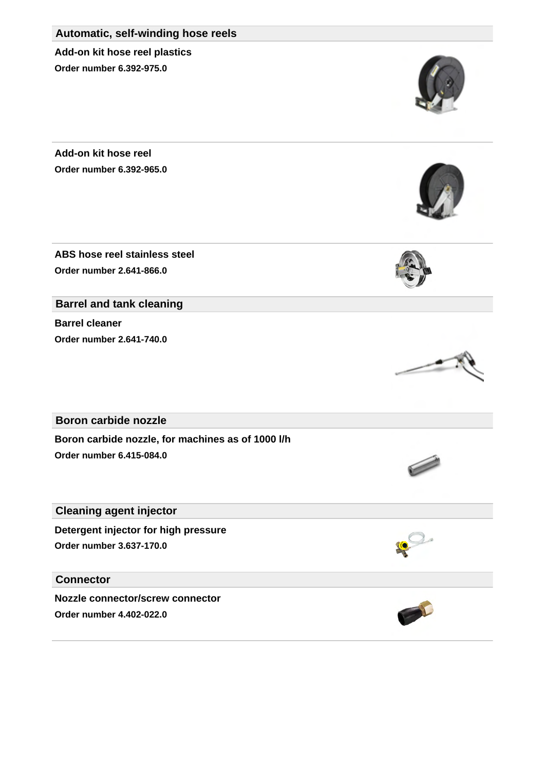#### **Automatic, self-winding hose reels**

**Add-on kit hose reel plastics Order number 6.392-975.0**

**Add-on kit hose reel Order number 6.392-965.0**

**ABS hose reel stainless steel Order number 2.641-866.0**

**Barrel and tank cleaning**

**Barrel cleaner Order number 2.641-740.0**

**Boron carbide nozzle**

**Boron carbide nozzle, for machines as of 1000 l/h Order number 6.415-084.0**

**Cleaning agent injector**

**Detergent injector for high pressure Order number 3.637-170.0**

## **Connector**

**Nozzle connector/screw connector Order number 4.402-022.0**









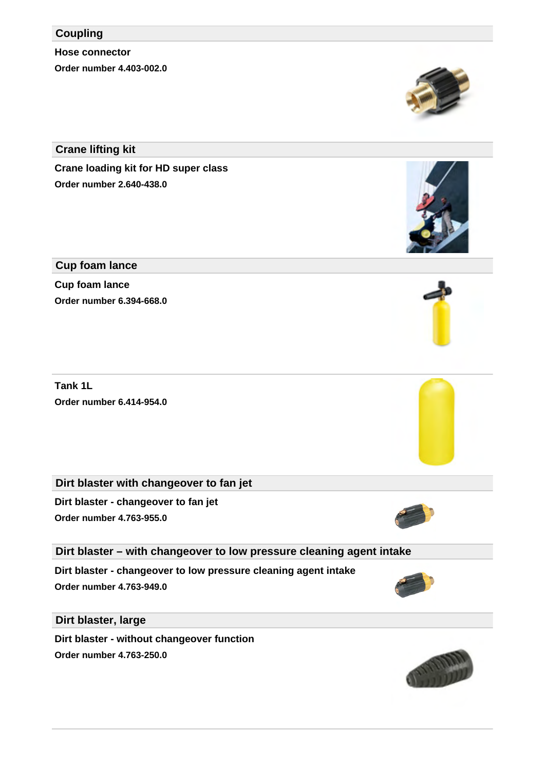### **Coupling**

**Hose connector Order number 4.403-002.0**

**Crane lifting kit**

**Crane loading kit for HD super class Order number 2.640-438.0**

## **Cup foam lance**

**Cup foam lance Order number 6.394-668.0**

**Tank 1L Order number 6.414-954.0**

**Dirt blaster with changeover to fan jet**

**Dirt blaster - changeover to fan jet Order number 4.763-955.0**

**Dirt blaster – with changeover to low pressure cleaning agent intake**

**Dirt blaster - changeover to low pressure cleaning agent intake Order number 4.763-949.0**

**Dirt blaster, large**

**Dirt blaster - without changeover function Order number 4.763-250.0**











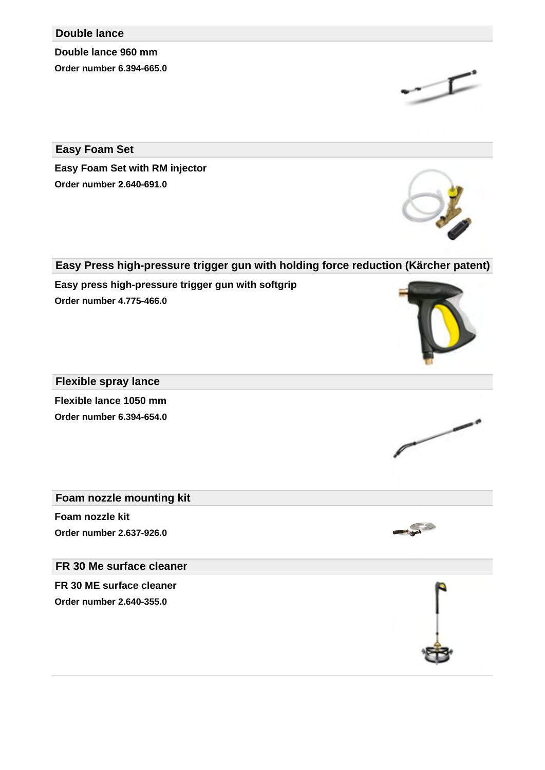#### **Double lance**

**Double lance 960 mm Order number 6.394-665.0**

**Easy Foam Set**

**Easy Foam Set with RM injector Order number 2.640-691.0**

## **Easy Press high-pressure trigger gun with holding force reduction (Kärcher patent)**

**Easy press high-pressure trigger gun with softgrip Order number 4.775-466.0**

## **Flexible spray lance**

**Flexible lance 1050 mm Order number 6.394-654.0**

### **Foam nozzle mounting kit**

**Foam nozzle kit Order number 2.637-926.0**

## **FR 30 Me surface cleaner**

**FR 30 ME surface cleaner Order number 2.640-355.0**









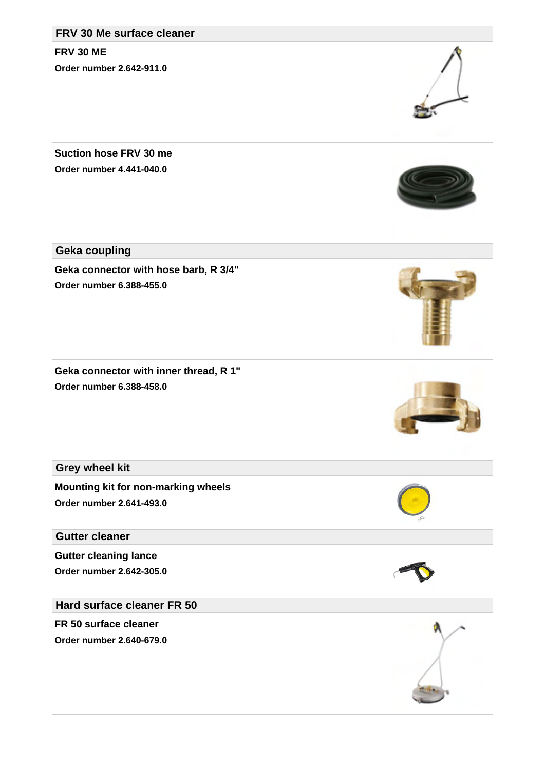## **FRV 30 Me surface cleaner**

**FRV 30 ME Order number 2.642-911.0**

**Suction hose FRV 30 me Order number 4.441-040.0**

**Geka coupling**

**Geka connector with hose barb, R 3/4" Order number 6.388-455.0**

**Geka connector with inner thread, R 1" Order number 6.388-458.0**

**Grey wheel kit**

**Mounting kit for non-marking wheels Order number 2.641-493.0**

**Gutter cleaner**

**Gutter cleaning lance Order number 2.642-305.0**

**Hard surface cleaner FR 50**

**FR 50 surface cleaner Order number 2.640-679.0**











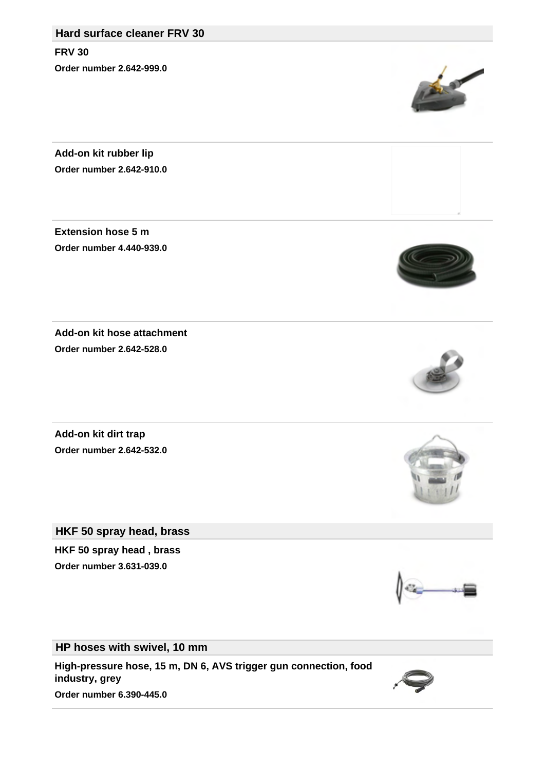## **Hard surface cleaner FRV 30**

**FRV 30 Order number 2.642-999.0**

**Add-on kit rubber lip Order number 2.642-910.0**

**Extension hose 5 m Order number 4.440-939.0**

**Order number 2.642-528.0**

**Add-on kit hose attachment**

**Add-on kit dirt trap Order number 2.642-532.0**

**HKF 50 spray head, brass**

**HKF 50 spray head , brass Order number 3.631-039.0**

**HP hoses with swivel, 10 mm**

**High-pressure hose, 15 m, DN 6, AVS trigger gun connection, food industry, grey Order number 6.390-445.0**











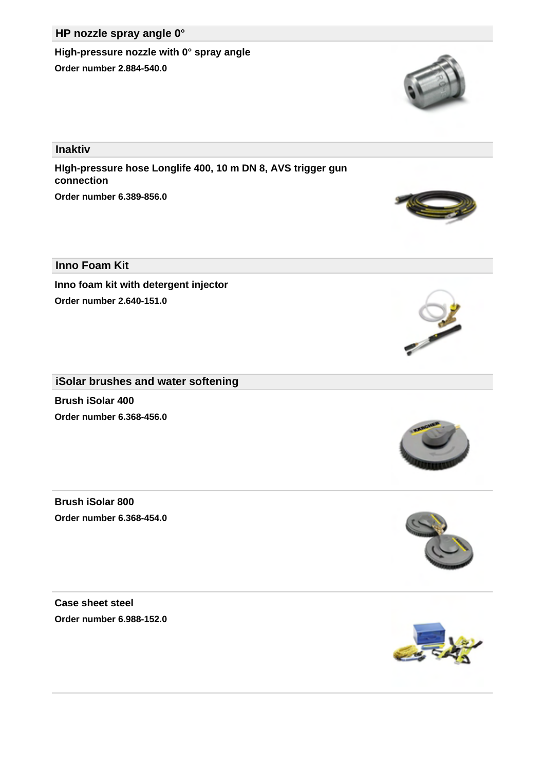## **HP nozzle spray angle 0°**

**High-pressure nozzle with 0° spray angle Order number 2.884-540.0**

**Inaktiv**

**HIgh-pressure hose Longlife 400, 10 m DN 8, AVS trigger gun connection Order number 6.389-856.0**

**Inno Foam Kit**

**Inno foam kit with detergent injector Order number 2.640-151.0**

**iSolar brushes and water softening**

**Brush iSolar 400 Order number 6.368-456.0**

**Brush iSolar 800 Order number 6.368-454.0**

**Case sheet steel Order number 6.988-152.0**









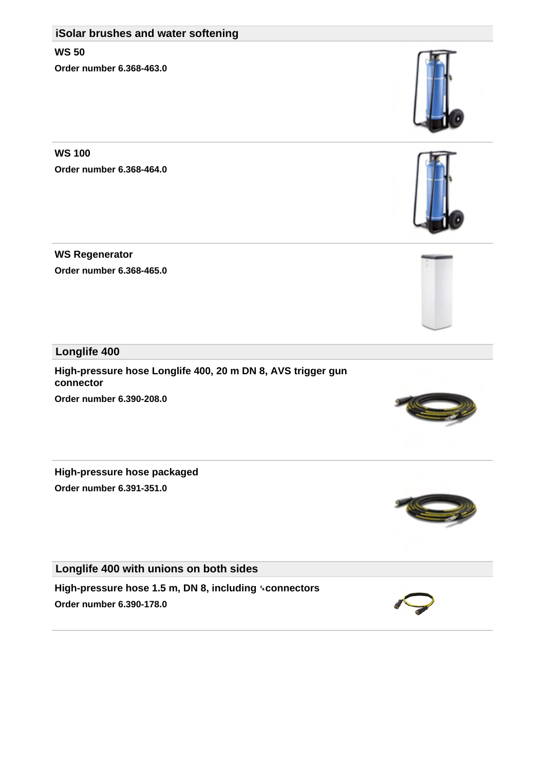## **iSolar brushes and water softening**

**WS 50 Order number 6.368-463.0**

**WS 100 Order number 6.368-464.0**

**WS Regenerator Order number 6.368-465.0**

**Longlife 400**

**High-pressure hose Longlife 400, 20 m DN 8, AVS trigger gun connector Order number 6.390-208.0**

**High-pressure hose packaged Order number 6.391-351.0**

**Longlife 400 with unions on both sides**

**High-pressure hose 1.5 m, DN 8, including** ␍**connectors Order number 6.390-178.0**











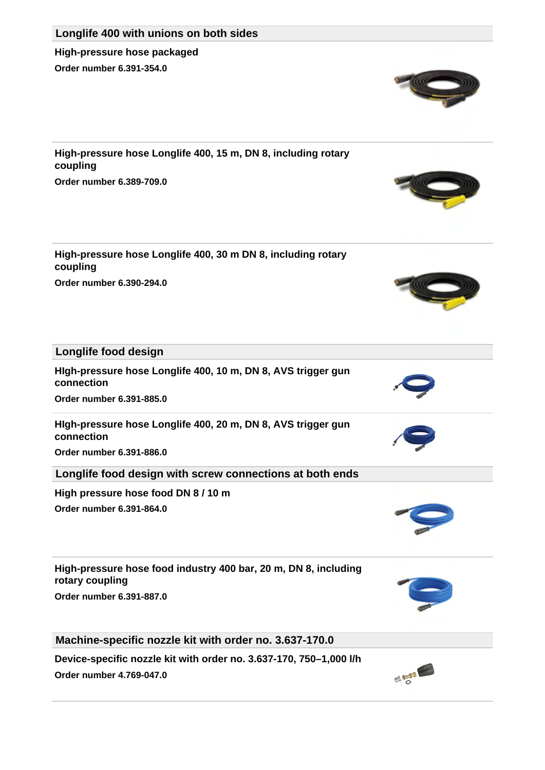

**Longlife 400 with unions on both sides**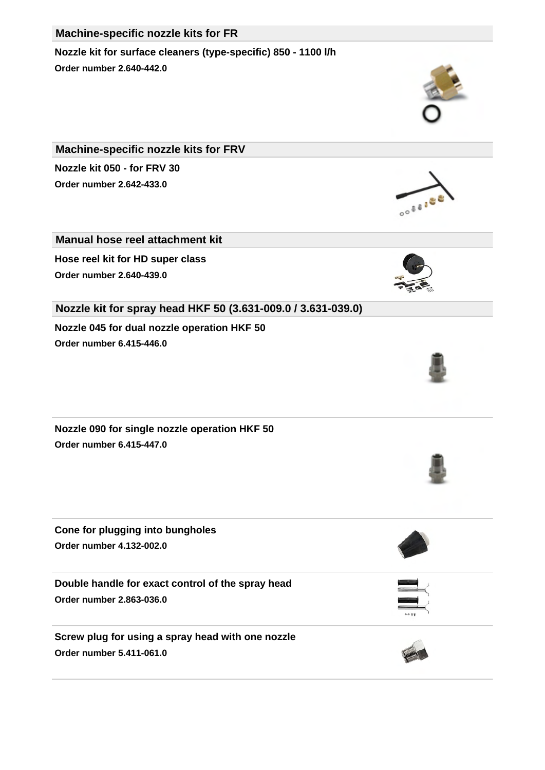### **Machine-specific nozzle kits for FR**

**Nozzle kit for surface cleaners (type-specific) 850 - 1100 l/h Order number 2.640-442.0**

**Machine-specific nozzle kits for FRV Nozzle kit 050 - for FRV 30 Order number 2.642-433.0**

**Manual hose reel attachment kit**

**Hose reel kit for HD super class Order number 2.640-439.0**

**Nozzle kit for spray head HKF 50 (3.631-009.0 / 3.631-039.0) Nozzle 045 for dual nozzle operation HKF 50**

**Order number 6.415-446.0**

**Nozzle 090 for single nozzle operation HKF 50 Order number 6.415-447.0**

**Cone for plugging into bungholes Order number 4.132-002.0**

**Double handle for exact control of the spray head Order number 2.863-036.0**

**Screw plug for using a spray head with one nozzle Order number 5.411-061.0**













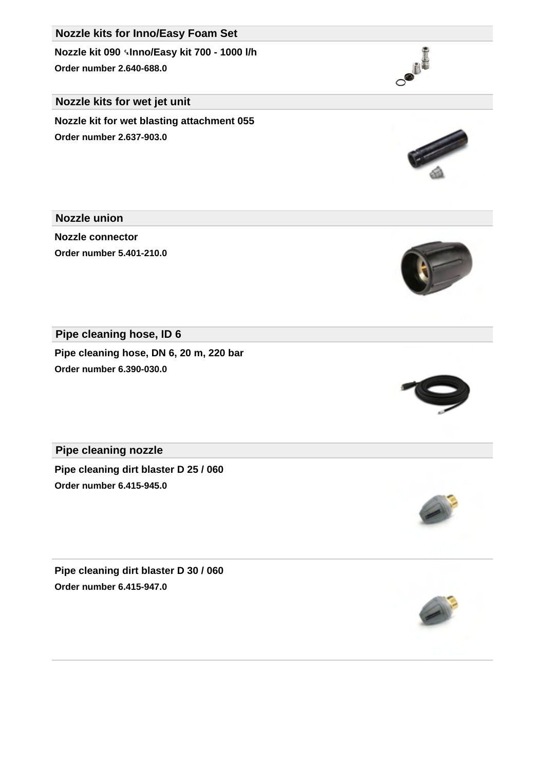# **Nozzle kits for Inno/Easy Foam Set**

**Nozzle kit 090** ␍**Inno/Easy kit 700 - 1000 l/h Order number 2.640-688.0**

### **Nozzle kits for wet jet unit**

**Nozzle kit for wet blasting attachment 055 Order number 2.637-903.0**

**Nozzle union**

**Nozzle connector Order number 5.401-210.0**

**Pipe cleaning hose, ID 6**

**Pipe cleaning hose, DN 6, 20 m, 220 bar Order number 6.390-030.0**

**Pipe cleaning nozzle**

**Pipe cleaning dirt blaster D 25 / 060 Order number 6.415-945.0**

**Pipe cleaning dirt blaster D 30 / 060 Order number 6.415-947.0**









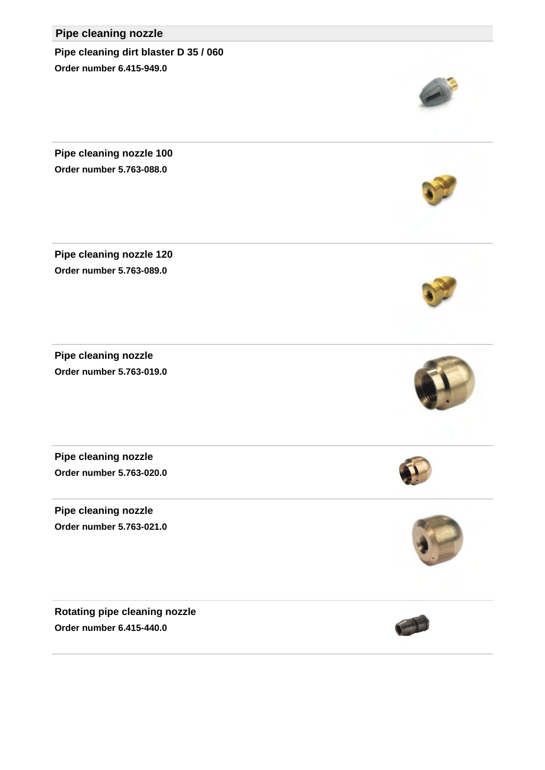# **Pipe cleaning nozzle**

**Pipe cleaning dirt blaster D 35 / 060 Order number 6.415-949.0**

**Pipe cleaning nozzle 100 Order number 5.763-088.0**

**Pipe cleaning nozzle 120 Order number 5.763-089.0**

**Pipe cleaning nozzle Order number 5.763-019.0**

**Pipe cleaning nozzle Order number 5.763-020.0**

**Pipe cleaning nozzle Order number 5.763-021.0**

**Rotating pipe cleaning nozzle Order number 6.415-440.0**











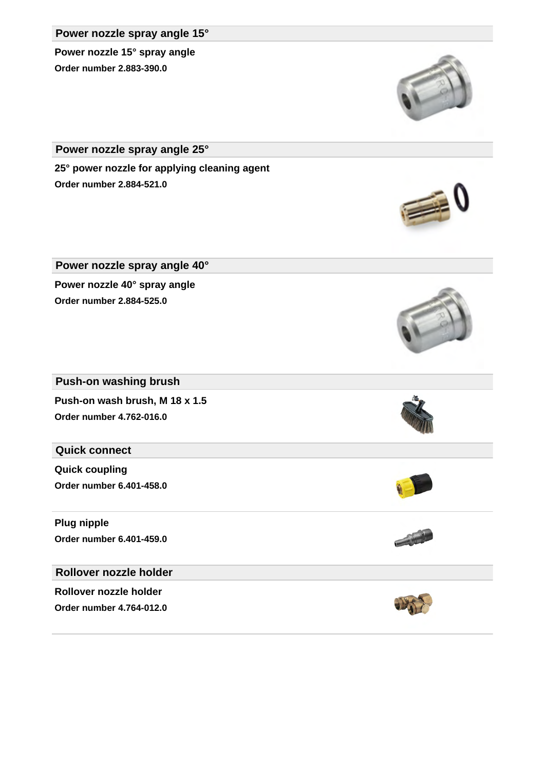#### **Power nozzle spray angle 15°**

**Power nozzle 15° spray angle Order number 2.883-390.0**

**Power nozzle spray angle 25°**

**25° power nozzle for applying cleaning agent Order number 2.884-521.0**

**Power nozzle spray angle 40° Power nozzle 40° spray angle Order number 2.884-525.0**

**Push-on washing brush**

**Push-on wash brush, M 18 x 1.5 Order number 4.762-016.0**

### **Quick connect**

**Quick coupling Order number 6.401-458.0**

**Plug nipple Order number 6.401-459.0**

### **Rollover nozzle holder**

**Rollover nozzle holder Order number 4.764-012.0**











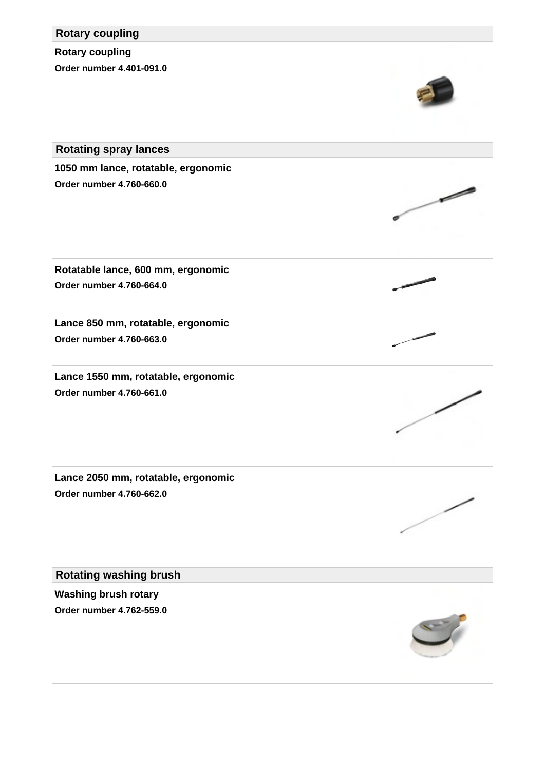# **Rotary coupling**

**Rotary coupling Order number 4.401-091.0**



╱

**Rotating spray lances 1050 mm lance, rotatable, ergonomic Order number 4.760-660.0**

**Rotatable lance, 600 mm, ergonomic Order number 4.760-664.0**

**Lance 850 mm, rotatable, ergonomic Order number 4.760-663.0**

**Lance 1550 mm, rotatable, ergonomic Order number 4.760-661.0**

**Lance 2050 mm, rotatable, ergonomic Order number 4.760-662.0**

**Rotating washing brush**

**Washing brush rotary Order number 4.762-559.0**

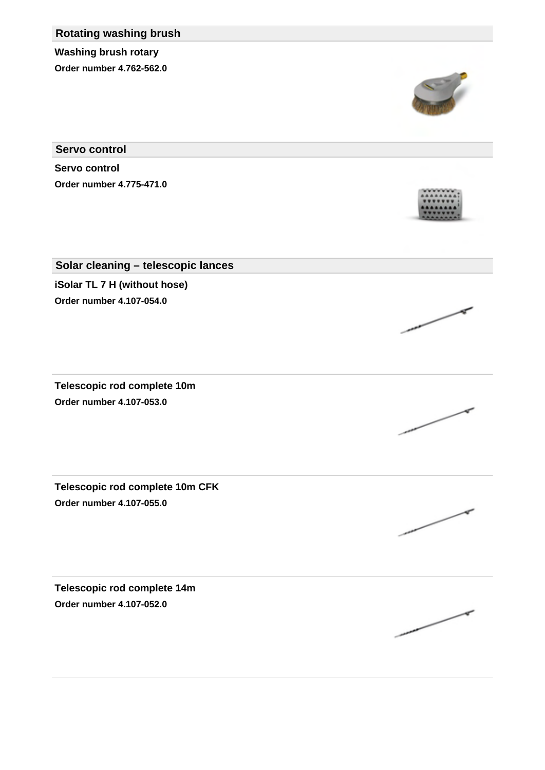# **Rotating washing brush**

**Washing brush rotary Order number 4.762-562.0**

**Servo control**

**Servo control Order number 4.775-471.0**

# **Solar cleaning – telescopic lances iSolar TL 7 H (without hose)**

**Order number 4.107-054.0**

**Telescopic rod complete 10m Order number 4.107-053.0**

**Telescopic rod complete 10m CFK Order number 4.107-055.0**

**Telescopic rod complete 14m Order number 4.107-052.0**









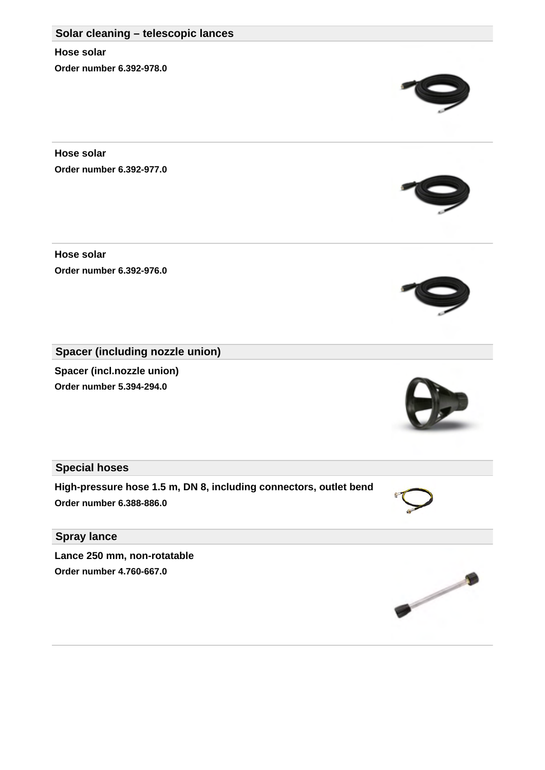# **Solar cleaning – telescopic lances**

**Hose solar Order number 6.392-978.0**

**Hose solar Order number 6.392-977.0**

**Hose solar Order number 6.392-976.0**

**Spacer (including nozzle union)**

**Spacer (incl.nozzle union) Order number 5.394-294.0**

**Special hoses**

**High-pressure hose 1.5 m, DN 8, including connectors, outlet bend Order number 6.388-886.0**

**Spray lance**

**Lance 250 mm, non-rotatable Order number 4.760-667.0**







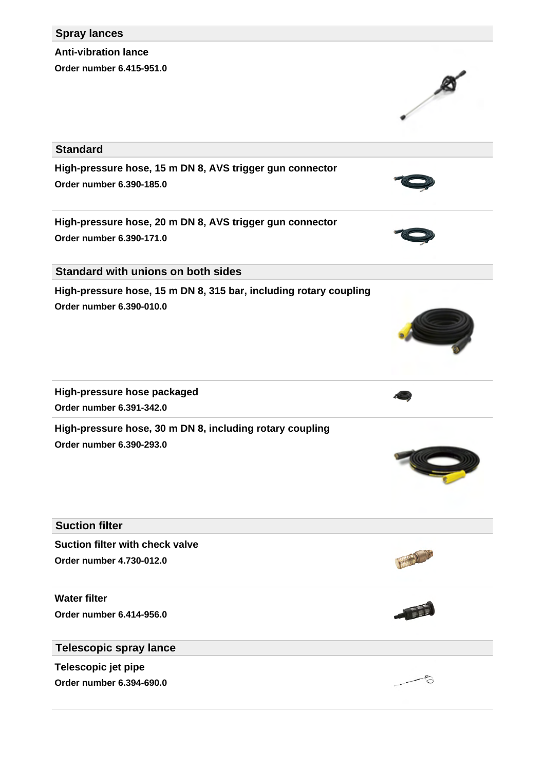#### **Spray lances**

**Anti-vibration lance Order number 6.415-951.0**

## **Standard**

**High-pressure hose, 15 m DN 8, AVS trigger gun connector Order number 6.390-185.0**

**High-pressure hose, 20 m DN 8, AVS trigger gun connector Order number 6.390-171.0**

**Standard with unions on both sides**

**High-pressure hose, 15 m DN 8, 315 bar, including rotary coupling Order number 6.390-010.0**

**High-pressure hose packaged Order number 6.391-342.0**

**High-pressure hose, 30 m DN 8, including rotary coupling Order number 6.390-293.0**

#### **Suction filter**

**Suction filter with check valve Order number 4.730-012.0**

**Water filter Order number 6.414-956.0**

**Telescopic spray lance**

**Telescopic jet pipe Order number 6.394-690.0**











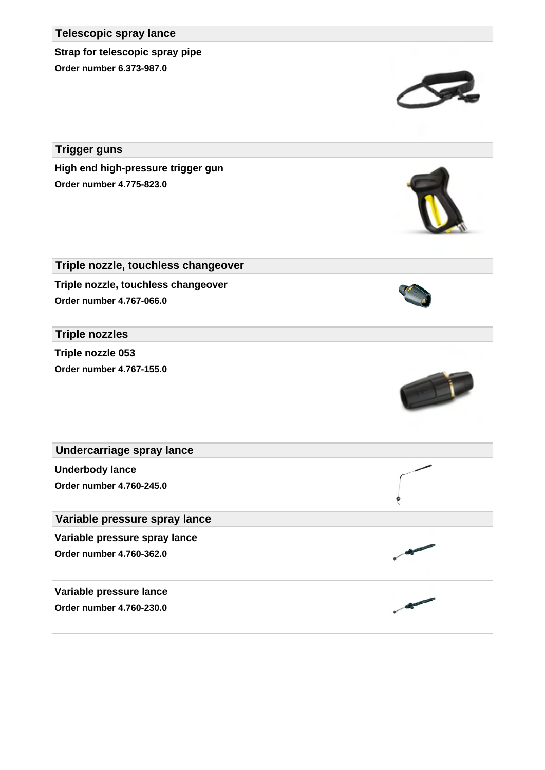#### **Telescopic spray lance**

**Strap for telescopic spray pipe Order number 6.373-987.0**

**Trigger guns**

**High end high-pressure trigger gun Order number 4.775-823.0**

**Triple nozzle, touchless changeover Triple nozzle, touchless changeover**

**Order number 4.767-066.0**

### **Triple nozzles**

**Triple nozzle 053 Order number 4.767-155.0**



**Variable pressure lance**

**Order number 4.760-230.0**